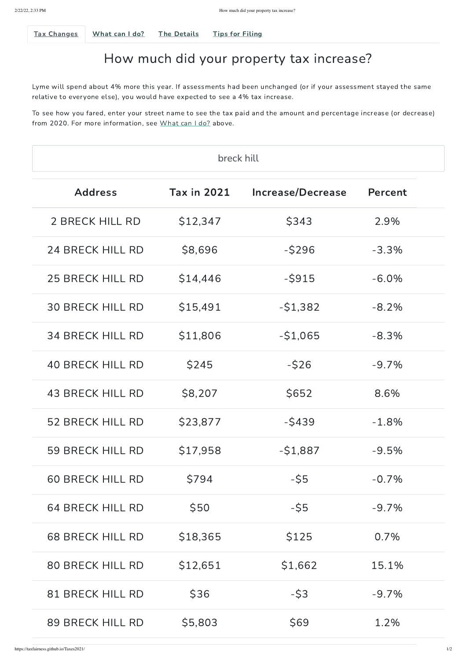<span id="page-0-0"></span>

Tax [Changes](#page-0-0) What can I do? The Details Tips for Filing

## How much did your property tax increase?

To see how you fared, enter your street name to see the tax paid and the amount and percentage increase (or decrease) from 2020. For more information, see What can I do? above.

Lyme will spend about 4% more this year. If assessments had been unchanged (or if your assessment stayed the same relative to everyone else), you would have expected to see a 4% tax increase.

| breck hill              |                    |                          |          |  |  |
|-------------------------|--------------------|--------------------------|----------|--|--|
| <b>Address</b>          | <b>Tax in 2021</b> | <b>Increase/Decrease</b> | Percent  |  |  |
| 2 BRECK HILL RD         | \$12,347           | \$343                    | 2.9%     |  |  |
| 24 BRECK HILL RD        | \$8,696            | $-$ \$296                | $-3.3%$  |  |  |
| <b>25 BRECK HILL RD</b> | \$14,446           | $-5915$                  | $-6.0\%$ |  |  |
| <b>30 BRECK HILL RD</b> | \$15,491           | $-51,382$                | $-8.2%$  |  |  |
| <b>34 BRECK HILL RD</b> | \$11,806           | $-51,065$                | $-8.3\%$ |  |  |
| <b>40 BRECK HILL RD</b> | \$245              | $-526$                   | $-9.7\%$ |  |  |
| 43 BRECK HILL RD        | \$8,207            | \$652                    | 8.6%     |  |  |
| 52 BRECK HILL RD        | \$23,877           | $-5439$                  | $-1.8%$  |  |  |
| 59 BRECK HILL RD        | \$17,958           | $-51,887$                | $-9.5%$  |  |  |
| <b>60 BRECK HILL RD</b> | \$794              | $-55$                    | $-0.7\%$ |  |  |

| 64 BRECK HILL RD        | \$50     | $-55$   | $-9.7\%$ |  |
|-------------------------|----------|---------|----------|--|
| <b>68 BRECK HILL RD</b> | \$18,365 | \$125   | $0.7\%$  |  |
| <b>80 BRECK HILL RD</b> | \$12,651 | \$1,662 | 15.1%    |  |
| 81 BRECK HILL RD        | \$36     | $-53$   | $-9.7\%$ |  |
| 89 BRECK HILL RD        | \$5,803  | \$69    | 1.2%     |  |